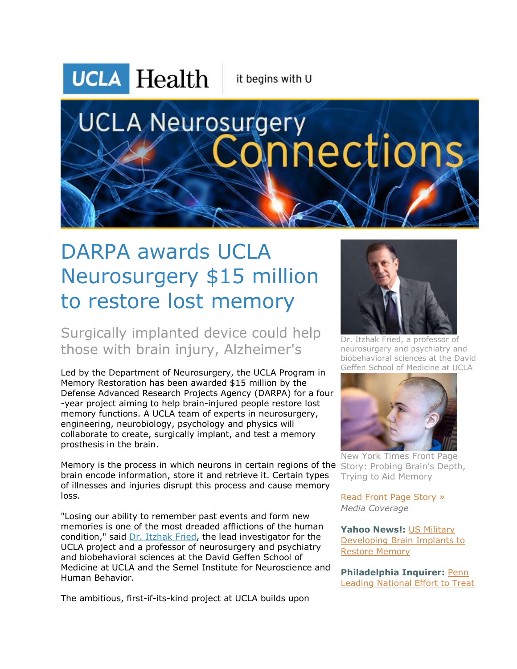## **UCLA Health**

it begins with U

# **UCLA Neurosurgery** nections

### DARPA awards UCLA Neurosurgery \$15 million to restore lost memory

Surgically implanted device could help those with brain injury, Alzheimer's

Led by the Department of Neurosurgery, the UCLA Program in Memory Restoration has been awarded \$15 million by the Defense Advanced Research Projects Agency (DARPA) for a four -year project aiming to help brain-injured people restore lost memory functions. A UCLA team of experts in neurosurgery, engineering, neurobiology, psychology and physics will collaborate to create, surgically implant, and test a memory prosthesis in the brain.

Memory is the process in which neurons in certain regions of the Story: Probing Brain's Depth, brain encode information, store it and retrieve it. Certain types of illnesses and injuries disrupt this process and cause memory loss.

"Losing our ability to remember past events and form new memories is one of the most dreaded afflictions of the human condition," said [Dr. Itzhak Fried,](http://r20.rs6.net/tn.jsp?f=0012D0FGl7xxd1NUn2wTxkDo8kxvF79dgQNXRcc0YX1lGSyNlSeTpEsbcF8ixUWaBHIoggDonGJvGmWZSRCNZMJIAa2hVrWmuu2P9Vai8JXjJZb3KPTqBiu-3zgS9EoXLOjl1FXuh0oKSrRkxGXkA5z5PWtEuqACA8O0cMhSo3ogUoJhOcL4AqsIgyh_5uiuRHuRF0v14nCQzr-KjEphmYytDuVhziuFgF9ySD0m7Y2rBUQPzF0hcx5XodBM_f5VhLkh131UzRQEENxrerB2FXTj5nHLhUYSPQwBIA9DHps6Qg0eC6q8iuLzesXx7txmlh2vI5N5iTGTEteTOA_69YX7TY2YRR9p22ThEt9tJUHXMvXUf7hsBPoIsz5YgJVB_58Fx3ffcE2ltzIcQIHkBlhAfP2oLi4gXflfv-cxVl5ayZaK_393AGrMA==&c=4SKz5dLzmq_4_5LzgdgQmM7ikHieDB7ieOn3yLmY-1RoDKHuw_9TkQ==&ch=z6Q1iioB1dygsElsHKYbuUoWZbXnhlfjqJgG2MJqy3sP3wtz6VrD3A==) the lead investigator for the UCLA project and a professor of neurosurgery and psychiatry and biobehavioral sciences at the David Geffen School of Medicine at UCLA and the Semel Institute for Neuroscience and Human Behavior.

The ambitious, first-if-its-kind project at UCLA builds upon



Dr. Itzhak Fried, a professor of neurosurgery and psychiatry and biobehavioral sciences at the David Geffen School of Medicine at UCLA



New York Times Front Page Trying to Aid Memory

[Read Front Page Story »](http://r20.rs6.net/tn.jsp?f=0012D0FGl7xxd1NUn2wTxkDo8kxvF79dgQNXRcc0YX1lGSyNlSeTpEsbcF8ixUWaBHIPv7ekhOqVNVW6Fxv-juhOkn5vZF3m92B13ZOOrLttCwBScFgmP-sn9vi2fUBbVDInRiKq1hP5y3SM6n4mi-XIX_c7r1nQWCVvhPMvMiU1fsLPfZ6My_joVNblUktQ-jvBq0cd-HnU-0hCHlRRgSKIwmEu4isF7dyIu3GdzPCDDLaiQ06-clbIOUm6JDltSqIiBnTm11M-LmcvqIQbl6OKqihu-Dtt0hli24vFlZvMWu3mrmRz7-YDkWgDCujGOjOX4jpJXdqY_Vb285tvpOaFWCrFJAb11pI0OM789qIjOVELiaLTBRSYaiM4ArYNh3kLQvKJpPPhRGR4g0ML0CTstDzqzAXhWAKDkOY_txqI5ZNYEXjMQWOwbRhkGqK4ZvSYvSTO2_XzQfYiIw49qNgcyYrPUoRF-cHLYbc0tjDIz5OZoOVP1u-J-TPPgifqCux565zmvVv6Xg=&c=4SKz5dLzmq_4_5LzgdgQmM7ikHieDB7ieOn3yLmY-1RoDKHuw_9TkQ==&ch=z6Q1iioB1dygsElsHKYbuUoWZbXnhlfjqJgG2MJqy3sP3wtz6VrD3A==) *Media Coverage*

**Yahoo News!:** [US Military](http://r20.rs6.net/tn.jsp?f=0012D0FGl7xxd1NUn2wTxkDo8kxvF79dgQNXRcc0YX1lGSyNlSeTpEsbcF8ixUWaBHIZJjcstZm5O6vjWAxiwINDt52SX_mEkz3MjLF2eAbErcE4kUqk8tPr5Fs9Mm4vgNdDf6zrlddHfi4LG7lQJFKo3TewMCqzB8KjSQawXL2vGr-dNyOxWwy6ItbVHhDz9LoeDqxahflfSJehG8-RvKKdMyP4L3UmPsbDfuAQo_5lJ7OUAtCU4hZaNmd8yHtyOmJk5nVOgYivh8lHw4Rdlg_hxMzk0mROHixEErDo4Se8ur2o6ljHHKHoEouV-H1wiqFCowP3L4K9jDkKFryaxGZx9lYH0kRw69_BEB5vOs_xw8NIqKgPr783bU34KPODEA3YZGNpNyOfr1UiHoEkdNBlOm8GzHhrF0IEVeWuuhXqLZzOn8SH6Bb5wcS7CLE9-1JmFhGaPzP0ecpJ_Y_kqi0tCRQg60ra9nsbB4ex7P5HHGM8Pu4bd25bw==&c=4SKz5dLzmq_4_5LzgdgQmM7ikHieDB7ieOn3yLmY-1RoDKHuw_9TkQ==&ch=z6Q1iioB1dygsElsHKYbuUoWZbXnhlfjqJgG2MJqy3sP3wtz6VrD3A==)  [Developing Brain Implants to](http://r20.rs6.net/tn.jsp?f=0012D0FGl7xxd1NUn2wTxkDo8kxvF79dgQNXRcc0YX1lGSyNlSeTpEsbcF8ixUWaBHIZJjcstZm5O6vjWAxiwINDt52SX_mEkz3MjLF2eAbErcE4kUqk8tPr5Fs9Mm4vgNdDf6zrlddHfi4LG7lQJFKo3TewMCqzB8KjSQawXL2vGr-dNyOxWwy6ItbVHhDz9LoeDqxahflfSJehG8-RvKKdMyP4L3UmPsbDfuAQo_5lJ7OUAtCU4hZaNmd8yHtyOmJk5nVOgYivh8lHw4Rdlg_hxMzk0mROHixEErDo4Se8ur2o6ljHHKHoEouV-H1wiqFCowP3L4K9jDkKFryaxGZx9lYH0kRw69_BEB5vOs_xw8NIqKgPr783bU34KPODEA3YZGNpNyOfr1UiHoEkdNBlOm8GzHhrF0IEVeWuuhXqLZzOn8SH6Bb5wcS7CLE9-1JmFhGaPzP0ecpJ_Y_kqi0tCRQg60ra9nsbB4ex7P5HHGM8Pu4bd25bw==&c=4SKz5dLzmq_4_5LzgdgQmM7ikHieDB7ieOn3yLmY-1RoDKHuw_9TkQ==&ch=z6Q1iioB1dygsElsHKYbuUoWZbXnhlfjqJgG2MJqy3sP3wtz6VrD3A==)  [Restore Memory](http://r20.rs6.net/tn.jsp?f=0012D0FGl7xxd1NUn2wTxkDo8kxvF79dgQNXRcc0YX1lGSyNlSeTpEsbcF8ixUWaBHIZJjcstZm5O6vjWAxiwINDt52SX_mEkz3MjLF2eAbErcE4kUqk8tPr5Fs9Mm4vgNdDf6zrlddHfi4LG7lQJFKo3TewMCqzB8KjSQawXL2vGr-dNyOxWwy6ItbVHhDz9LoeDqxahflfSJehG8-RvKKdMyP4L3UmPsbDfuAQo_5lJ7OUAtCU4hZaNmd8yHtyOmJk5nVOgYivh8lHw4Rdlg_hxMzk0mROHixEErDo4Se8ur2o6ljHHKHoEouV-H1wiqFCowP3L4K9jDkKFryaxGZx9lYH0kRw69_BEB5vOs_xw8NIqKgPr783bU34KPODEA3YZGNpNyOfr1UiHoEkdNBlOm8GzHhrF0IEVeWuuhXqLZzOn8SH6Bb5wcS7CLE9-1JmFhGaPzP0ecpJ_Y_kqi0tCRQg60ra9nsbB4ex7P5HHGM8Pu4bd25bw==&c=4SKz5dLzmq_4_5LzgdgQmM7ikHieDB7ieOn3yLmY-1RoDKHuw_9TkQ==&ch=z6Q1iioB1dygsElsHKYbuUoWZbXnhlfjqJgG2MJqy3sP3wtz6VrD3A==)

**Philadelphia Inquirer:** [Penn](http://r20.rs6.net/tn.jsp?f=0012D0FGl7xxd1NUn2wTxkDo8kxvF79dgQNXRcc0YX1lGSyNlSeTpEsbcF8ixUWaBHI1i5bz4J9UizkdEYzW1-wdmmPw2l8Ps0dubdoD244lYIjA4eWq8amqesj2pMmE8HQigKMmcLn1wFGGp4_SoKP9L4uVm11RP8YuRQLP-guRO7XAXROZR99o523w08Kkfdb4Tk5DwsiQCdsdSEXYFxK93Kj_7OT00Ja9okinaYAk-AXQ0AQPCl71Iw_WhoeyyAHlX604WfALpCdN7mV_yQoiyHrWiIHUqWtv_Kkt7GjCCqxebsa2k7IlL1VAcZ3OnnVVErKNnS8VNbtanWvc9qxJAhKYAQFNQwQzUazt5ExrF0hYo3SRXj6ncFOaMWhWRBJ9anTRIMflOUn7ZGKgozr19avan9ZMH_aMnsxk3VPa_3fB4HnGNrNVSU06mav0ZmpHykrl9kG1YdnIWc6FqpkFD_JPFMxvaNKhVSfDGeijgP0xrQbzzKV3_zvpzyZYlOh&c=4SKz5dLzmq_4_5LzgdgQmM7ikHieDB7ieOn3yLmY-1RoDKHuw_9TkQ==&ch=z6Q1iioB1dygsElsHKYbuUoWZbXnhlfjqJgG2MJqy3sP3wtz6VrD3A==)  [Leading National Effort to Treat](http://r20.rs6.net/tn.jsp?f=0012D0FGl7xxd1NUn2wTxkDo8kxvF79dgQNXRcc0YX1lGSyNlSeTpEsbcF8ixUWaBHI1i5bz4J9UizkdEYzW1-wdmmPw2l8Ps0dubdoD244lYIjA4eWq8amqesj2pMmE8HQigKMmcLn1wFGGp4_SoKP9L4uVm11RP8YuRQLP-guRO7XAXROZR99o523w08Kkfdb4Tk5DwsiQCdsdSEXYFxK93Kj_7OT00Ja9okinaYAk-AXQ0AQPCl71Iw_WhoeyyAHlX604WfALpCdN7mV_yQoiyHrWiIHUqWtv_Kkt7GjCCqxebsa2k7IlL1VAcZ3OnnVVErKNnS8VNbtanWvc9qxJAhKYAQFNQwQzUazt5ExrF0hYo3SRXj6ncFOaMWhWRBJ9anTRIMflOUn7ZGKgozr19avan9ZMH_aMnsxk3VPa_3fB4HnGNrNVSU06mav0ZmpHykrl9kG1YdnIWc6FqpkFD_JPFMxvaNKhVSfDGeijgP0xrQbzzKV3_zvpzyZYlOh&c=4SKz5dLzmq_4_5LzgdgQmM7ikHieDB7ieOn3yLmY-1RoDKHuw_9TkQ==&ch=z6Q1iioB1dygsElsHKYbuUoWZbXnhlfjqJgG2MJqy3sP3wtz6VrD3A==)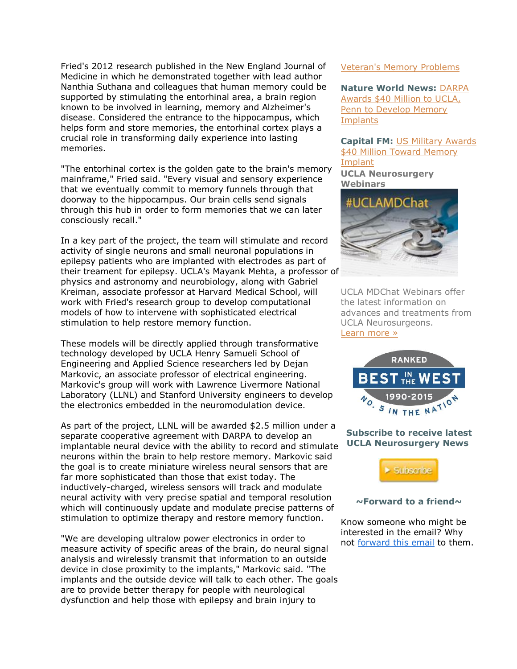Fried's 2012 research published in the New England Journal of Medicine in which he demonstrated together with lead author Nanthia Suthana and colleagues that human memory could be supported by stimulating the entorhinal area, a brain region known to be involved in learning, memory and Alzheimer's disease. Considered the entrance to the hippocampus, which helps form and store memories, the entorhinal cortex plays a crucial role in transforming daily experience into lasting memories.

"The entorhinal cortex is the golden gate to the brain's memory mainframe," Fried said. "Every visual and sensory experience that we eventually commit to memory funnels through that doorway to the hippocampus. Our brain cells send signals through this hub in order to form memories that we can later consciously recall."

In a key part of the project, the team will stimulate and record activity of single neurons and small neuronal populations in epilepsy patients who are implanted with electrodes as part of their treament for epilepsy. UCLA's Mayank Mehta, a professor of physics and astronomy and neurobiology, along with Gabriel Kreiman, associate professor at Harvard Medical School, will work with Fried's research group to develop computational models of how to intervene with sophisticated electrical stimulation to help restore memory function.

These models will be directly applied through transformative technology developed by UCLA Henry Samueli School of Engineering and Applied Science researchers led by Dejan Markovic, an associate professor of electrical engineering. Markovic's group will work with Lawrence Livermore National Laboratory (LLNL) and Stanford University engineers to develop the electronics embedded in the neuromodulation device.

As part of the project, LLNL will be awarded \$2.5 million under a separate cooperative agreement with DARPA to develop an implantable neural device with the ability to record and stimulate neurons within the brain to help restore memory. Markovic said the goal is to create miniature wireless neural sensors that are far more sophisticated than those that exist today. The inductively-charged, wireless sensors will track and modulate neural activity with very precise spatial and temporal resolution which will continuously update and modulate precise patterns of stimulation to optimize therapy and restore memory function.

"We are developing ultralow power electronics in order to measure activity of specific areas of the brain, do neural signal analysis and wirelessly transmit that information to an outside device in close proximity to the implants," Markovic said. "The implants and the outside device will talk to each other. The goals are to provide better therapy for people with neurological dysfunction and help those with epilepsy and brain injury to

#### [Veteran's Memory Problems](http://r20.rs6.net/tn.jsp?f=0012D0FGl7xxd1NUn2wTxkDo8kxvF79dgQNXRcc0YX1lGSyNlSeTpEsbcF8ixUWaBHI1i5bz4J9UizkdEYzW1-wdmmPw2l8Ps0dubdoD244lYIjA4eWq8amqesj2pMmE8HQigKMmcLn1wFGGp4_SoKP9L4uVm11RP8YuRQLP-guRO7XAXROZR99o523w08Kkfdb4Tk5DwsiQCdsdSEXYFxK93Kj_7OT00Ja9okinaYAk-AXQ0AQPCl71Iw_WhoeyyAHlX604WfALpCdN7mV_yQoiyHrWiIHUqWtv_Kkt7GjCCqxebsa2k7IlL1VAcZ3OnnVVErKNnS8VNbtanWvc9qxJAhKYAQFNQwQzUazt5ExrF0hYo3SRXj6ncFOaMWhWRBJ9anTRIMflOUn7ZGKgozr19avan9ZMH_aMnsxk3VPa_3fB4HnGNrNVSU06mav0ZmpHykrl9kG1YdnIWc6FqpkFD_JPFMxvaNKhVSfDGeijgP0xrQbzzKV3_zvpzyZYlOh&c=4SKz5dLzmq_4_5LzgdgQmM7ikHieDB7ieOn3yLmY-1RoDKHuw_9TkQ==&ch=z6Q1iioB1dygsElsHKYbuUoWZbXnhlfjqJgG2MJqy3sP3wtz6VrD3A==)

**Nature World News:** [DARPA](http://r20.rs6.net/tn.jsp?f=0012D0FGl7xxd1NUn2wTxkDo8kxvF79dgQNXRcc0YX1lGSyNlSeTpEsbcF8ixUWaBHIhqMP9rJmqAPU4NcfR6ivURXosVEwyM4vGoGYSDKcN75paxH3CjXGqe7379X6nfpySa4_gVf6SWGpCFBcSXW7wvCDXjG5aj7XDlk9Nz8Qt0lmRbVQmMGa7pycvHXfTf2foKFk8fGrUbQ1Gf4aqz_rhL_wucREQYnjED6kLuGk9MQibT4JsLC0YuFZkRhmgDtiJi0TmbhEev0Xa6KTupDFqBrW3brGLAOijx4GxrDv40dkfZCG_Rj2XB1xEUvLKc7Y4vx-FnMRTZ71l4bdSU5ncC4t5BgjU3i8U7DNPlKyhNpsA3JR7v5qHr_BHDuXTh8EcmWDWhy_ZFk020gEIgHp1_nr-D52pXcKNHDh0p8yNChHAj44IUSDmwC6JvDGvDf9HN-rZXbSpekSKlGsbrEvTf46U7sOKlxiHTY29nNE3wjuUVMgB8LHaPeqb9o-0VpOMCmIeoyPEC0JTLAmtV5hVKCTizQ3sMyiEsQ8ArYAQog=&c=4SKz5dLzmq_4_5LzgdgQmM7ikHieDB7ieOn3yLmY-1RoDKHuw_9TkQ==&ch=z6Q1iioB1dygsElsHKYbuUoWZbXnhlfjqJgG2MJqy3sP3wtz6VrD3A==)  [Awards \\$40 Million to UCLA,](http://r20.rs6.net/tn.jsp?f=0012D0FGl7xxd1NUn2wTxkDo8kxvF79dgQNXRcc0YX1lGSyNlSeTpEsbcF8ixUWaBHIhqMP9rJmqAPU4NcfR6ivURXosVEwyM4vGoGYSDKcN75paxH3CjXGqe7379X6nfpySa4_gVf6SWGpCFBcSXW7wvCDXjG5aj7XDlk9Nz8Qt0lmRbVQmMGa7pycvHXfTf2foKFk8fGrUbQ1Gf4aqz_rhL_wucREQYnjED6kLuGk9MQibT4JsLC0YuFZkRhmgDtiJi0TmbhEev0Xa6KTupDFqBrW3brGLAOijx4GxrDv40dkfZCG_Rj2XB1xEUvLKc7Y4vx-FnMRTZ71l4bdSU5ncC4t5BgjU3i8U7DNPlKyhNpsA3JR7v5qHr_BHDuXTh8EcmWDWhy_ZFk020gEIgHp1_nr-D52pXcKNHDh0p8yNChHAj44IUSDmwC6JvDGvDf9HN-rZXbSpekSKlGsbrEvTf46U7sOKlxiHTY29nNE3wjuUVMgB8LHaPeqb9o-0VpOMCmIeoyPEC0JTLAmtV5hVKCTizQ3sMyiEsQ8ArYAQog=&c=4SKz5dLzmq_4_5LzgdgQmM7ikHieDB7ieOn3yLmY-1RoDKHuw_9TkQ==&ch=z6Q1iioB1dygsElsHKYbuUoWZbXnhlfjqJgG2MJqy3sP3wtz6VrD3A==)  Penn to Develop Memory **[Implants](http://r20.rs6.net/tn.jsp?f=0012D0FGl7xxd1NUn2wTxkDo8kxvF79dgQNXRcc0YX1lGSyNlSeTpEsbcF8ixUWaBHIhqMP9rJmqAPU4NcfR6ivURXosVEwyM4vGoGYSDKcN75paxH3CjXGqe7379X6nfpySa4_gVf6SWGpCFBcSXW7wvCDXjG5aj7XDlk9Nz8Qt0lmRbVQmMGa7pycvHXfTf2foKFk8fGrUbQ1Gf4aqz_rhL_wucREQYnjED6kLuGk9MQibT4JsLC0YuFZkRhmgDtiJi0TmbhEev0Xa6KTupDFqBrW3brGLAOijx4GxrDv40dkfZCG_Rj2XB1xEUvLKc7Y4vx-FnMRTZ71l4bdSU5ncC4t5BgjU3i8U7DNPlKyhNpsA3JR7v5qHr_BHDuXTh8EcmWDWhy_ZFk020gEIgHp1_nr-D52pXcKNHDh0p8yNChHAj44IUSDmwC6JvDGvDf9HN-rZXbSpekSKlGsbrEvTf46U7sOKlxiHTY29nNE3wjuUVMgB8LHaPeqb9o-0VpOMCmIeoyPEC0JTLAmtV5hVKCTizQ3sMyiEsQ8ArYAQog=&c=4SKz5dLzmq_4_5LzgdgQmM7ikHieDB7ieOn3yLmY-1RoDKHuw_9TkQ==&ch=z6Q1iioB1dygsElsHKYbuUoWZbXnhlfjqJgG2MJqy3sP3wtz6VrD3A==)** 

**Capital FM:** [US Military Awards](http://r20.rs6.net/tn.jsp?f=0012D0FGl7xxd1NUn2wTxkDo8kxvF79dgQNXRcc0YX1lGSyNlSeTpEsbcF8ixUWaBHInZpv6xDpKxZXfQmxDRbeIud5NRU91XsZ1bLei9J9_-Sl2uqh1CIXOto72X4JaRQnDP4StVWla4sYu0BFoA3eBc3t03QVARGAYRdc23tI7BluwR4uN3rMrP92M7f9G4HY-mP6QHvwrvuPDcdvkhvWV_l7F_a-zTirRpm-PUXfb8xHl1nrswUxJ7_DzSSdp0lBx5O6Iuk9Fw86FeXyafXpJrFT9WTjnDEvNjbTxh9xjB2evXWpusUeih1eT7mi3DfZFWnJY8Q91pDGa7SWrYNzOb0jqkJq5fooWExDPX1Uf83lqaBge_9aG7c-lGPZv4jbS84C6NTtvpnnGHgDcJ6JNfJYJQzKj0PNvA3c4EMxD5Batyis4_zfKN9rxKBHXeIJF-VOfVTw82ZQZLHsVlw4xiDC3rUH1I1ci5HpjWBFwp9JwXlzpFa5ef-GkK-I6CELJJrgximmoWY=&c=4SKz5dLzmq_4_5LzgdgQmM7ikHieDB7ieOn3yLmY-1RoDKHuw_9TkQ==&ch=z6Q1iioB1dygsElsHKYbuUoWZbXnhlfjqJgG2MJqy3sP3wtz6VrD3A==)  \$40 Million Toward Memory [Implant](http://r20.rs6.net/tn.jsp?f=0012D0FGl7xxd1NUn2wTxkDo8kxvF79dgQNXRcc0YX1lGSyNlSeTpEsbcF8ixUWaBHInZpv6xDpKxZXfQmxDRbeIud5NRU91XsZ1bLei9J9_-Sl2uqh1CIXOto72X4JaRQnDP4StVWla4sYu0BFoA3eBc3t03QVARGAYRdc23tI7BluwR4uN3rMrP92M7f9G4HY-mP6QHvwrvuPDcdvkhvWV_l7F_a-zTirRpm-PUXfb8xHl1nrswUxJ7_DzSSdp0lBx5O6Iuk9Fw86FeXyafXpJrFT9WTjnDEvNjbTxh9xjB2evXWpusUeih1eT7mi3DfZFWnJY8Q91pDGa7SWrYNzOb0jqkJq5fooWExDPX1Uf83lqaBge_9aG7c-lGPZv4jbS84C6NTtvpnnGHgDcJ6JNfJYJQzKj0PNvA3c4EMxD5Batyis4_zfKN9rxKBHXeIJF-VOfVTw82ZQZLHsVlw4xiDC3rUH1I1ci5HpjWBFwp9JwXlzpFa5ef-GkK-I6CELJJrgximmoWY=&c=4SKz5dLzmq_4_5LzgdgQmM7ikHieDB7ieOn3yLmY-1RoDKHuw_9TkQ==&ch=z6Q1iioB1dygsElsHKYbuUoWZbXnhlfjqJgG2MJqy3sP3wtz6VrD3A==) **UCLA Neurosurgery Webinars**



UCLA MDChat Webinars offer the latest information on advances and treatments from UCLA Neurosurgeons. [Learn more »](http://r20.rs6.net/tn.jsp?f=0012D0FGl7xxd1NUn2wTxkDo8kxvF79dgQNXRcc0YX1lGSyNlSeTpEsbcF8ixUWaBHITxgrRjSsW6X-As4icHMbdDC-cae3SeJ3Phx4HnZFrz_lu5yjhscAJiNEN5aZJL7_MaEB-e6MtaWj1ALoAIVG3_tJJcEuNNYmnHo5Vo-iDG-FGQnsm7bpw-tWzqb8VtArxd8xPjZwMGAiuJ9ng4GGrwsC6ITRFb0OyfKCCxL8ea5i0ww20XxJAWcTetE0rEVio-LJrRXvXLdDQSL0DbEsHrfvAvx3kKqsbtLsubyv7ChtfSCsPUdhtHcGPqfURQvbcgPhSG592dCN8BTQ20R5jgPjvJX3sGrevTYznZgkk7RjB8FudRaumBHi-_ERq47kJ5fRpK3B5emakICy7s4e1vHdTkHPnIbSpT-dOuw-MQUGAXF6evzkVZJVprJrYac-&c=4SKz5dLzmq_4_5LzgdgQmM7ikHieDB7ieOn3yLmY-1RoDKHuw_9TkQ==&ch=z6Q1iioB1dygsElsHKYbuUoWZbXnhlfjqJgG2MJqy3sP3wtz6VrD3A==)



#### **Subscribe to receive latest UCLA Neurosurgery News**



#### **~Forward to a friend~**

Know someone who might be interested in the email? Why not [forward this email](http://ui.constantcontact.com/sa/fwtf.jsp?m=1102215505942&a=1118025354024&ea=mitchdferris%40yahoo.com) to them.